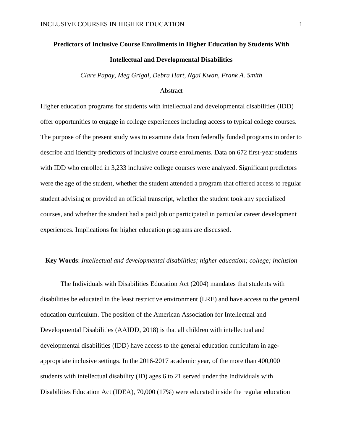# **Predictors of Inclusive Course Enrollments in Higher Education by Students With Intellectual and Developmental Disabilities**

*Clare Papay, Meg Grigal, Debra Hart, Ngai Kwan, Frank A. Smith*

#### Abstract

Higher education programs for students with intellectual and developmental disabilities (IDD) offer opportunities to engage in college experiences including access to typical college courses. The purpose of the present study was to examine data from federally funded programs in order to describe and identify predictors of inclusive course enrollments. Data on 672 first-year students with IDD who enrolled in 3,233 inclusive college courses were analyzed. Significant predictors were the age of the student, whether the student attended a program that offered access to regular student advising or provided an official transcript, whether the student took any specialized courses, and whether the student had a paid job or participated in particular career development experiences. Implications for higher education programs are discussed.

#### **Key Words**: *Intellectual and developmental disabilities; higher education; college; inclusion*

The Individuals with Disabilities Education Act (2004) mandates that students with disabilities be educated in the least restrictive environment (LRE) and have access to the general education curriculum. The position of the American Association for Intellectual and Developmental Disabilities (AAIDD, 2018) is that all children with intellectual and developmental disabilities (IDD) have access to the general education curriculum in ageappropriate inclusive settings. In the 2016-2017 academic year, of the more than 400,000 students with intellectual disability (ID) ages 6 to 21 served under the Individuals with Disabilities Education Act (IDEA), 70,000 (17%) were educated inside the regular education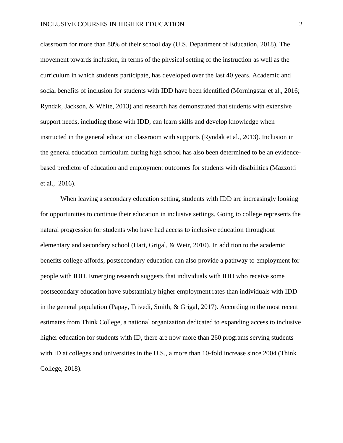classroom for more than 80% of their school day (U.S. Department of Education, 2018). The movement towards inclusion, in terms of the physical setting of the instruction as well as the curriculum in which students participate, has developed over the last 40 years. Academic and social benefits of inclusion for students with IDD have been identified (Morningstar et al., 2016; Ryndak, Jackson, & White, 2013) and research has demonstrated that students with extensive support needs, including those with IDD, can learn skills and develop knowledge when instructed in the general education classroom with supports (Ryndak et al., 2013). Inclusion in the general education curriculum during high school has also been determined to be an evidencebased predictor of education and employment outcomes for students with disabilities (Mazzotti et al., 2016).

When leaving a secondary education setting, students with IDD are increasingly looking for opportunities to continue their education in inclusive settings. Going to college represents the natural progression for students who have had access to inclusive education throughout elementary and secondary school (Hart, Grigal, & Weir, 2010). In addition to the academic benefits college affords, postsecondary education can also provide a pathway to employment for people with IDD. Emerging research suggests that individuals with IDD who receive some postsecondary education have substantially higher employment rates than individuals with IDD in the general population (Papay, Trivedi, Smith, & Grigal, 2017). According to the most recent estimates from Think College, a national organization dedicated to expanding access to inclusive higher education for students with ID, there are now more than 260 programs serving students with ID at colleges and universities in the U.S., a more than 10-fold increase since 2004 (Think College, 2018).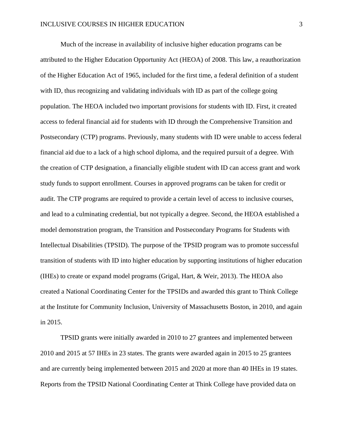Much of the increase in availability of inclusive higher education programs can be attributed to the Higher Education Opportunity Act (HEOA) of 2008. This law, a reauthorization of the Higher Education Act of 1965, included for the first time, a federal definition of a student with ID, thus recognizing and validating individuals with ID as part of the college going population. The HEOA included two important provisions for students with ID. First, it created access to federal financial aid for students with ID through the Comprehensive Transition and Postsecondary (CTP) programs. Previously, many students with ID were unable to access federal financial aid due to a lack of a high school diploma, and the required pursuit of a degree. With the creation of CTP designation, a financially eligible student with ID can access grant and work study funds to support enrollment. Courses in approved programs can be taken for credit or audit. The CTP programs are required to provide a certain level of access to inclusive courses, and lead to a culminating credential, but not typically a degree. Second, the HEOA established a model demonstration program, the Transition and Postsecondary Programs for Students with Intellectual Disabilities (TPSID). The purpose of the TPSID program was to promote successful transition of students with ID into higher education by supporting institutions of higher education (IHEs) to create or expand model programs (Grigal, Hart, & Weir, 2013). The HEOA also created a National Coordinating Center for the TPSIDs and awarded this grant to Think College at the Institute for Community Inclusion, University of Massachusetts Boston, in 2010, and again in 2015.

TPSID grants were initially awarded in 2010 to 27 grantees and implemented between 2010 and 2015 at 57 IHEs in 23 states. The grants were awarded again in 2015 to 25 grantees and are currently being implemented between 2015 and 2020 at more than 40 IHEs in 19 states. Reports from the TPSID National Coordinating Center at Think College have provided data on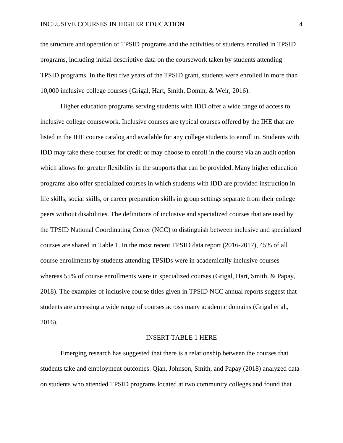#### INCLUSIVE COURSES IN HIGHER EDUCATION 4

the structure and operation of TPSID programs and the activities of students enrolled in TPSID programs, including initial descriptive data on the coursework taken by students attending TPSID programs. In the first five years of the TPSID grant, students were enrolled in more than 10,000 inclusive college courses (Grigal, Hart, Smith, Domin, & Weir, 2016).

Higher education programs serving students with IDD offer a wide range of access to inclusive college coursework. Inclusive courses are typical courses offered by the IHE that are listed in the IHE course catalog and available for any college students to enroll in. Students with IDD may take these courses for credit or may choose to enroll in the course via an audit option which allows for greater flexibility in the supports that can be provided. Many higher education programs also offer specialized courses in which students with IDD are provided instruction in life skills, social skills, or career preparation skills in group settings separate from their college peers without disabilities. The definitions of inclusive and specialized courses that are used by the TPSID National Coordinating Center (NCC) to distinguish between inclusive and specialized courses are shared in Table 1. In the most recent TPSID data report (2016-2017), 45% of all course enrollments by students attending TPSIDs were in academically inclusive courses whereas 55% of course enrollments were in specialized courses (Grigal, Hart, Smith, & Papay, 2018). The examples of inclusive course titles given in TPSID NCC annual reports suggest that students are accessing a wide range of courses across many academic domains (Grigal et al., 2016).

#### INSERT TABLE 1 HERE

Emerging research has suggested that there is a relationship between the courses that students take and employment outcomes. Qian, Johnson, Smith, and Papay (2018) analyzed data on students who attended TPSID programs located at two community colleges and found that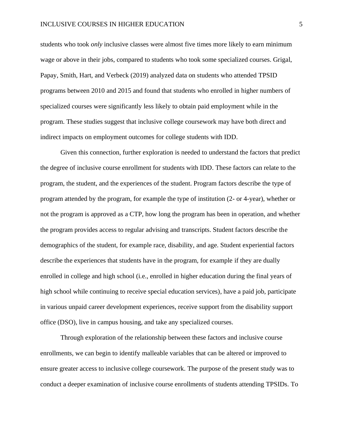#### INCLUSIVE COURSES IN HIGHER EDUCATION 5

students who took *only* inclusive classes were almost five times more likely to earn minimum wage or above in their jobs, compared to students who took some specialized courses. Grigal, Papay, Smith, Hart, and Verbeck (2019) analyzed data on students who attended TPSID programs between 2010 and 2015 and found that students who enrolled in higher numbers of specialized courses were significantly less likely to obtain paid employment while in the program. These studies suggest that inclusive college coursework may have both direct and indirect impacts on employment outcomes for college students with IDD.

Given this connection, further exploration is needed to understand the factors that predict the degree of inclusive course enrollment for students with IDD. These factors can relate to the program, the student, and the experiences of the student. Program factors describe the type of program attended by the program, for example the type of institution (2- or 4-year), whether or not the program is approved as a CTP, how long the program has been in operation, and whether the program provides access to regular advising and transcripts. Student factors describe the demographics of the student, for example race, disability, and age. Student experiential factors describe the experiences that students have in the program, for example if they are dually enrolled in college and high school (i.e., enrolled in higher education during the final years of high school while continuing to receive special education services), have a paid job, participate in various unpaid career development experiences, receive support from the disability support office (DSO), live in campus housing, and take any specialized courses.

Through exploration of the relationship between these factors and inclusive course enrollments, we can begin to identify malleable variables that can be altered or improved to ensure greater access to inclusive college coursework. The purpose of the present study was to conduct a deeper examination of inclusive course enrollments of students attending TPSIDs. To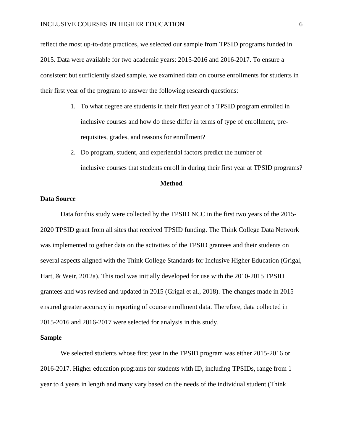reflect the most up-to-date practices, we selected our sample from TPSID programs funded in 2015. Data were available for two academic years: 2015-2016 and 2016-2017. To ensure a consistent but sufficiently sized sample, we examined data on course enrollments for students in their first year of the program to answer the following research questions:

- 1. To what degree are students in their first year of a TPSID program enrolled in inclusive courses and how do these differ in terms of type of enrollment, prerequisites, grades, and reasons for enrollment?
- 2. Do program, student, and experiential factors predict the number of inclusive courses that students enroll in during their first year at TPSID programs?

#### **Method**

#### **Data Source**

Data for this study were collected by the TPSID NCC in the first two years of the 2015- 2020 TPSID grant from all sites that received TPSID funding. The Think College Data Network was implemented to gather data on the activities of the TPSID grantees and their students on several aspects aligned with the Think College Standards for Inclusive Higher Education (Grigal, Hart, & Weir, 2012a). This tool was initially developed for use with the 2010-2015 TPSID grantees and was revised and updated in 2015 (Grigal et al., 2018). The changes made in 2015 ensured greater accuracy in reporting of course enrollment data. Therefore, data collected in 2015-2016 and 2016-2017 were selected for analysis in this study.

#### **Sample**

We selected students whose first year in the TPSID program was either 2015-2016 or 2016-2017. Higher education programs for students with ID, including TPSIDs, range from 1 year to 4 years in length and many vary based on the needs of the individual student (Think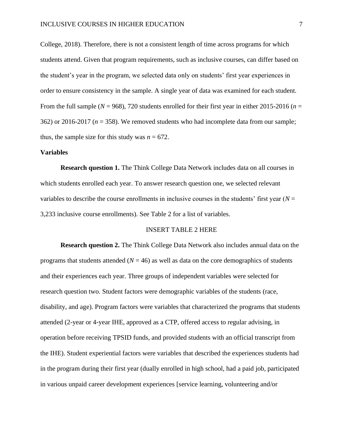College, 2018). Therefore, there is not a consistent length of time across programs for which students attend. Given that program requirements, such as inclusive courses, can differ based on the student's year in the program, we selected data only on students' first year experiences in order to ensure consistency in the sample. A single year of data was examined for each student. From the full sample ( $N = 968$ ), 720 students enrolled for their first year in either 2015-2016 ( $n =$ 362) or 2016-2017 (*n* = 358). We removed students who had incomplete data from our sample; thus, the sample size for this study was  $n = 672$ .

#### **Variables**

**Research question 1.** The Think College Data Network includes data on all courses in which students enrolled each year. To answer research question one, we selected relevant variables to describe the course enrollments in inclusive courses in the students' first year  $(N =$ 3,233 inclusive course enrollments). See Table 2 for a list of variables.

#### INSERT TABLE 2 HERE

**Research question 2.** The Think College Data Network also includes annual data on the programs that students attended  $(N = 46)$  as well as data on the core demographics of students and their experiences each year. Three groups of independent variables were selected for research question two. Student factors were demographic variables of the students (race, disability, and age). Program factors were variables that characterized the programs that students attended (2-year or 4-year IHE, approved as a CTP, offered access to regular advising, in operation before receiving TPSID funds, and provided students with an official transcript from the IHE). Student experiential factors were variables that described the experiences students had in the program during their first year (dually enrolled in high school, had a paid job, participated in various unpaid career development experiences [service learning, volunteering and/or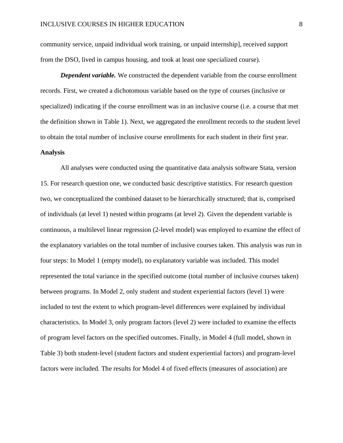community service, unpaid individual work training, or unpaid internship], received support from the DSO, lived in campus housing, and took at least one specialized course).

*Dependent variable.* We constructed the dependent variable from the course enrollment records. First, we created a dichotomous variable based on the type of courses (inclusive or specialized) indicating if the course enrollment was in an inclusive course (i.e. a course that met the definition shown in Table 1). Next, we aggregated the enrollment records to the student level to obtain the total number of inclusive course enrollments for each student in their first year.

#### **Analysis**

All analyses were conducted using the quantitative data analysis software Stata, version 15. For research question one, we conducted basic descriptive statistics. For research question two, we conceptualized the combined dataset to be hierarchically structured; that is, comprised of individuals (at level 1) nested within programs (at level 2). Given the dependent variable is continuous, a multilevel linear regression (2-level model) was employed to examine the effect of the explanatory variables on the total number of inclusive courses taken. This analysis was run in four steps: In Model 1 (empty model), no explanatory variable was included. This model represented the total variance in the specified outcome (total number of inclusive courses taken) between programs. In Model 2, only student and student experiential factors (level 1) were included to test the extent to which program-level differences were explained by individual characteristics. In Model 3, only program factors (level 2) were included to examine the effects of program level factors on the specified outcomes. Finally, in Model 4 (full model, shown in Table 3) both student-level (student factors and student experiential factors) and program-level factors were included. The results for Model 4 of fixed effects (measures of association) are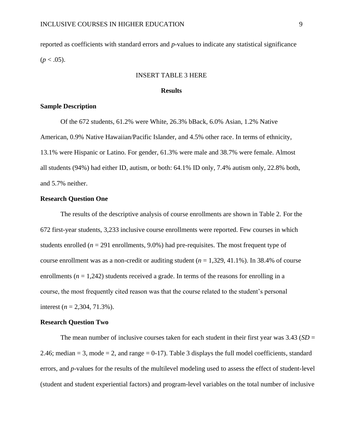reported as coefficients with standard errors and *p*-values to indicate any statistical significance  $(p < .05)$ .

#### INSERT TABLE 3 HERE

#### **Results**

#### **Sample Description**

Of the 672 students, 61.2% were White, 26.3% bBack, 6.0% Asian, 1.2% Native American, 0.9% Native Hawaiian/Pacific Islander, and 4.5% other race. In terms of ethnicity, 13.1% were Hispanic or Latino. For gender, 61.3% were male and 38.7% were female. Almost all students (94%) had either ID, autism, or both: 64.1% ID only, 7.4% autism only, 22.8% both, and 5.7% neither.

#### **Research Question One**

The results of the descriptive analysis of course enrollments are shown in Table 2. For the 672 first-year students, 3,233 inclusive course enrollments were reported. Few courses in which students enrolled ( $n = 291$  enrollments,  $9.0\%$ ) had pre-requisites. The most frequent type of course enrollment was as a non-credit or auditing student  $(n = 1,329, 41.1\%)$ . In 38.4% of course enrollments  $(n = 1,242)$  students received a grade. In terms of the reasons for enrolling in a course, the most frequently cited reason was that the course related to the student's personal interest  $(n = 2,304, 71.3\%)$ .

#### **Research Question Two**

The mean number of inclusive courses taken for each student in their first year was 3.43 (*SD* = 2.46; median  $= 3$ , mode  $= 2$ , and range  $= 0-17$ ). Table 3 displays the full model coefficients, standard errors, and *p*-values for the results of the multilevel modeling used to assess the effect of student-level (student and student experiential factors) and program-level variables on the total number of inclusive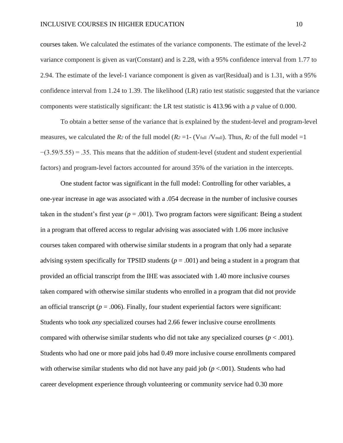#### INCLUSIVE COURSES IN HIGHER EDUCATION 10

courses taken. We calculated the estimates of the variance components. The estimate of the level-2 variance component is given as var(Constant) and is 2.28, with a 95% confidence interval from 1.77 to 2.94. The estimate of the level-1 variance component is given as var(Residual) and is 1.31, with a 95% confidence interval from 1.24 to 1.39. The likelihood (LR) ratio test statistic suggested that the variance components were statistically significant: the LR test statistic is 413.96 with a *p* value of 0.000.

To obtain a better sense of the variance that is explained by the student-level and program-level measures, we calculated the *R*<sub>2</sub> of the full model  $(R_2 = 1 - (V_{full} / V_{null})$ . Thus,  $R_2$  of the full model  $=1$  $-(3.59/5.55) = .35$ . This means that the addition of student-level (student and student experiential factors) and program-level factors accounted for around 35% of the variation in the intercepts.

One student factor was significant in the full model: Controlling for other variables, a one-year increase in age was associated with a .054 decrease in the number of inclusive courses taken in the student's first year  $(p = .001)$ . Two program factors were significant: Being a student in a program that offered access to regular advising was associated with 1.06 more inclusive courses taken compared with otherwise similar students in a program that only had a separate advising system specifically for TPSID students  $(p = .001)$  and being a student in a program that provided an official transcript from the IHE was associated with 1.40 more inclusive courses taken compared with otherwise similar students who enrolled in a program that did not provide an official transcript ( $p = .006$ ). Finally, four student experiential factors were significant: Students who took *any* specialized courses had 2.66 fewer inclusive course enrollments compared with otherwise similar students who did not take any specialized courses  $(p < .001)$ . Students who had one or more paid jobs had 0.49 more inclusive course enrollments compared with otherwise similar students who did not have any paid job ( $p < .001$ ). Students who had career development experience through volunteering or community service had 0.30 more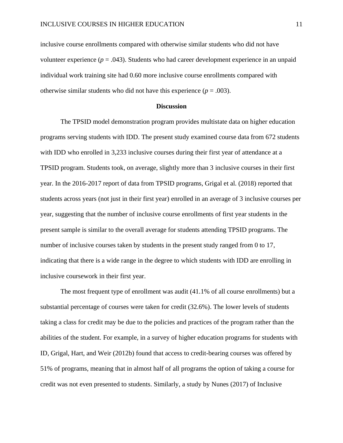inclusive course enrollments compared with otherwise similar students who did not have volunteer experience  $(p = .043)$ . Students who had career development experience in an unpaid individual work training site had 0.60 more inclusive course enrollments compared with otherwise similar students who did not have this experience  $(p = .003)$ .

#### **Discussion**

The TPSID model demonstration program provides multistate data on higher education programs serving students with IDD. The present study examined course data from 672 students with IDD who enrolled in 3,233 inclusive courses during their first year of attendance at a TPSID program. Students took, on average, slightly more than 3 inclusive courses in their first year. In the 2016-2017 report of data from TPSID programs, Grigal et al. (2018) reported that students across years (not just in their first year) enrolled in an average of 3 inclusive courses per year, suggesting that the number of inclusive course enrollments of first year students in the present sample is similar to the overall average for students attending TPSID programs. The number of inclusive courses taken by students in the present study ranged from 0 to 17, indicating that there is a wide range in the degree to which students with IDD are enrolling in inclusive coursework in their first year.

The most frequent type of enrollment was audit (41.1% of all course enrollments) but a substantial percentage of courses were taken for credit (32.6%). The lower levels of students taking a class for credit may be due to the policies and practices of the program rather than the abilities of the student. For example, in a survey of higher education programs for students with ID, Grigal, Hart, and Weir (2012b) found that access to credit-bearing courses was offered by 51% of programs, meaning that in almost half of all programs the option of taking a course for credit was not even presented to students. Similarly, a study by Nunes (2017) of Inclusive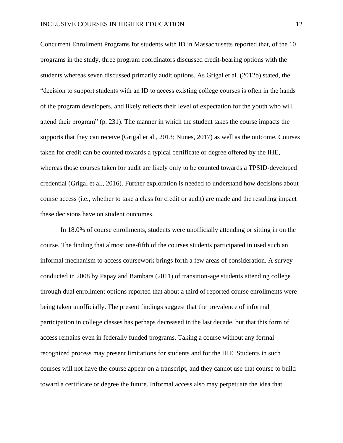Concurrent Enrollment Programs for students with ID in Massachusetts reported that, of the 10 programs in the study, three program coordinators discussed credit-bearing options with the students whereas seven discussed primarily audit options. As Grigal et al. (2012b) stated, the "decision to support students with an ID to access existing college courses is often in the hands of the program developers, and likely reflects their level of expectation for the youth who will attend their program" (p. 231). The manner in which the student takes the course impacts the supports that they can receive (Grigal et al., 2013; Nunes, 2017) as well as the outcome. Courses taken for credit can be counted towards a typical certificate or degree offered by the IHE, whereas those courses taken for audit are likely only to be counted towards a TPSID-developed credential (Grigal et al., 2016). Further exploration is needed to understand how decisions about course access (i.e., whether to take a class for credit or audit) are made and the resulting impact these decisions have on student outcomes.

In 18.0% of course enrollments, students were unofficially attending or sitting in on the course. The finding that almost one-fifth of the courses students participated in used such an informal mechanism to access coursework brings forth a few areas of consideration. A survey conducted in 2008 by Papay and Bambara (2011) of transition-age students attending college through dual enrollment options reported that about a third of reported course enrollments were being taken unofficially. The present findings suggest that the prevalence of informal participation in college classes has perhaps decreased in the last decade, but that this form of access remains even in federally funded programs. Taking a course without any formal recognized process may present limitations for students and for the IHE. Students in such courses will not have the course appear on a transcript, and they cannot use that course to build toward a certificate or degree the future. Informal access also may perpetuate the idea that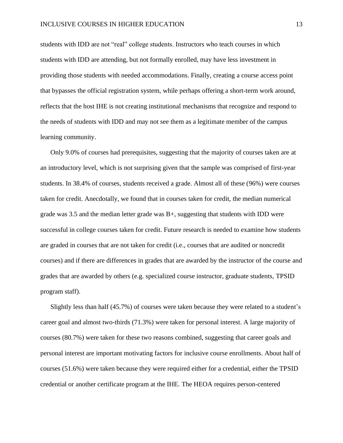students with IDD are not "real" college students. Instructors who teach courses in which students with IDD are attending, but not formally enrolled, may have less investment in providing those students with needed accommodations. Finally, creating a course access point that bypasses the official registration system, while perhaps offering a short-term work around, reflects that the host IHE is not creating institutional mechanisms that recognize and respond to the needs of students with IDD and may not see them as a legitimate member of the campus learning community.

Only 9.0% of courses had prerequisites, suggesting that the majority of courses taken are at an introductory level, which is not surprising given that the sample was comprised of first-year students. In 38.4% of courses, students received a grade. Almost all of these (96%) were courses taken for credit. Anecdotally, we found that in courses taken for credit, the median numerical grade was  $3.5$  and the median letter grade was  $B<sub>+</sub>$ , suggesting that students with IDD were successful in college courses taken for credit. Future research is needed to examine how students are graded in courses that are not taken for credit (i.e., courses that are audited or noncredit courses) and if there are differences in grades that are awarded by the instructor of the course and grades that are awarded by others (e.g. specialized course instructor, graduate students, TPSID program staff).

Slightly less than half (45.7%) of courses were taken because they were related to a student's career goal and almost two-thirds (71.3%) were taken for personal interest. A large majority of courses (80.7%) were taken for these two reasons combined, suggesting that career goals and personal interest are important motivating factors for inclusive course enrollments. About half of courses (51.6%) were taken because they were required either for a credential, either the TPSID credential or another certificate program at the IHE. The HEOA requires person-centered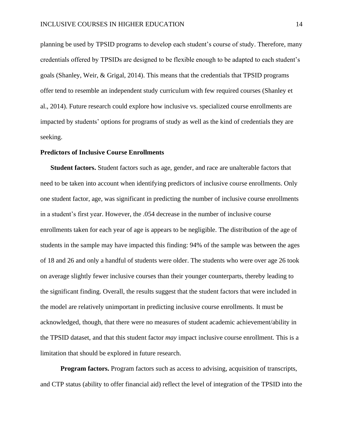planning be used by TPSID programs to develop each student's course of study. Therefore, many credentials offered by TPSIDs are designed to be flexible enough to be adapted to each student's goals (Shanley, Weir, & Grigal, 2014). This means that the credentials that TPSID programs offer tend to resemble an independent study curriculum with few required courses (Shanley et al., 2014). Future research could explore how inclusive vs. specialized course enrollments are impacted by students' options for programs of study as well as the kind of credentials they are seeking.

#### **Predictors of Inclusive Course Enrollments**

**Student factors.** Student factors such as age, gender, and race are unalterable factors that need to be taken into account when identifying predictors of inclusive course enrollments. Only one student factor, age, was significant in predicting the number of inclusive course enrollments in a student's first year. However, the .054 decrease in the number of inclusive course enrollments taken for each year of age is appears to be negligible. The distribution of the age of students in the sample may have impacted this finding: 94% of the sample was between the ages of 18 and 26 and only a handful of students were older. The students who were over age 26 took on average slightly fewer inclusive courses than their younger counterparts, thereby leading to the significant finding. Overall, the results suggest that the student factors that were included in the model are relatively unimportant in predicting inclusive course enrollments. It must be acknowledged, though, that there were no measures of student academic achievement/ability in the TPSID dataset, and that this student factor *may* impact inclusive course enrollment. This is a limitation that should be explored in future research.

**Program factors.** Program factors such as access to advising, acquisition of transcripts, and CTP status (ability to offer financial aid) reflect the level of integration of the TPSID into the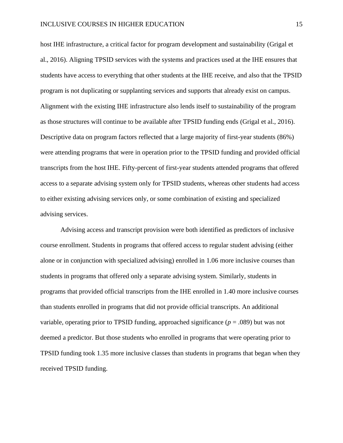host IHE infrastructure, a critical factor for program development and sustainability (Grigal et al., 2016). Aligning TPSID services with the systems and practices used at the IHE ensures that students have access to everything that other students at the IHE receive, and also that the TPSID program is not duplicating or supplanting services and supports that already exist on campus. Alignment with the existing IHE infrastructure also lends itself to sustainability of the program as those structures will continue to be available after TPSID funding ends (Grigal et al., 2016). Descriptive data on program factors reflected that a large majority of first-year students (86%) were attending programs that were in operation prior to the TPSID funding and provided official transcripts from the host IHE. Fifty-percent of first-year students attended programs that offered access to a separate advising system only for TPSID students, whereas other students had access to either existing advising services only, or some combination of existing and specialized advising services.

Advising access and transcript provision were both identified as predictors of inclusive course enrollment. Students in programs that offered access to regular student advising (either alone or in conjunction with specialized advising) enrolled in 1.06 more inclusive courses than students in programs that offered only a separate advising system. Similarly, students in programs that provided official transcripts from the IHE enrolled in 1.40 more inclusive courses than students enrolled in programs that did not provide official transcripts. An additional variable, operating prior to TPSID funding, approached significance (*p* = .089) but was not deemed a predictor. But those students who enrolled in programs that were operating prior to TPSID funding took 1.35 more inclusive classes than students in programs that began when they received TPSID funding.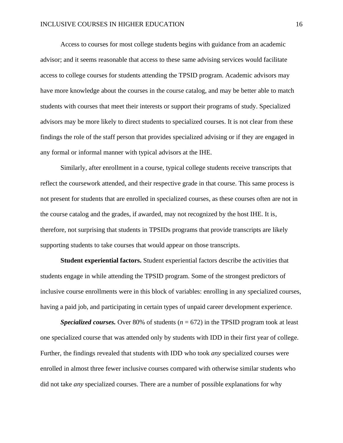Access to courses for most college students begins with guidance from an academic advisor; and it seems reasonable that access to these same advising services would facilitate access to college courses for students attending the TPSID program. Academic advisors may have more knowledge about the courses in the course catalog, and may be better able to match students with courses that meet their interests or support their programs of study. Specialized advisors may be more likely to direct students to specialized courses. It is not clear from these findings the role of the staff person that provides specialized advising or if they are engaged in any formal or informal manner with typical advisors at the IHE.

Similarly, after enrollment in a course, typical college students receive transcripts that reflect the coursework attended, and their respective grade in that course. This same process is not present for students that are enrolled in specialized courses, as these courses often are not in the course catalog and the grades, if awarded, may not recognized by the host IHE. It is, therefore, not surprising that students in TPSIDs programs that provide transcripts are likely supporting students to take courses that would appear on those transcripts.

**Student experiential factors.** Student experiential factors describe the activities that students engage in while attending the TPSID program. Some of the strongest predictors of inclusive course enrollments were in this block of variables: enrolling in any specialized courses, having a paid job, and participating in certain types of unpaid career development experience.

*Specialized courses.* Over 80% of students (*n* = 672) in the TPSID program took at least one specialized course that was attended only by students with IDD in their first year of college. Further, the findings revealed that students with IDD who took *any* specialized courses were enrolled in almost three fewer inclusive courses compared with otherwise similar students who did not take *any* specialized courses. There are a number of possible explanations for why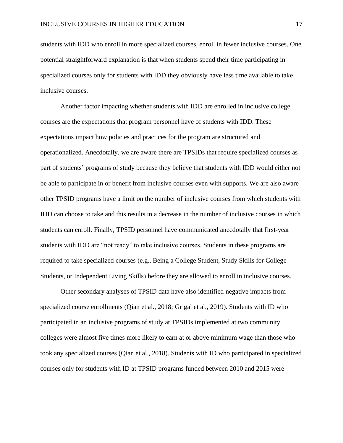students with IDD who enroll in more specialized courses, enroll in fewer inclusive courses. One potential straightforward explanation is that when students spend their time participating in specialized courses only for students with IDD they obviously have less time available to take inclusive courses.

Another factor impacting whether students with IDD are enrolled in inclusive college courses are the expectations that program personnel have of students with IDD. These expectations impact how policies and practices for the program are structured and operationalized. Anecdotally, we are aware there are TPSIDs that require specialized courses as part of students' programs of study because they believe that students with IDD would either not be able to participate in or benefit from inclusive courses even with supports. We are also aware other TPSID programs have a limit on the number of inclusive courses from which students with IDD can choose to take and this results in a decrease in the number of inclusive courses in which students can enroll. Finally, TPSID personnel have communicated anecdotally that first-year students with IDD are "not ready" to take inclusive courses. Students in these programs are required to take specialized courses (e.g., Being a College Student, Study Skills for College Students, or Independent Living Skills) before they are allowed to enroll in inclusive courses.

Other secondary analyses of TPSID data have also identified negative impacts from specialized course enrollments (Qian et al., 2018; Grigal et al., 2019). Students with ID who participated in an inclusive programs of study at TPSIDs implemented at two community colleges were almost five times more likely to earn at or above minimum wage than those who took any specialized courses (Qian et al., 2018). Students with ID who participated in specialized courses only for students with ID at TPSID programs funded between 2010 and 2015 were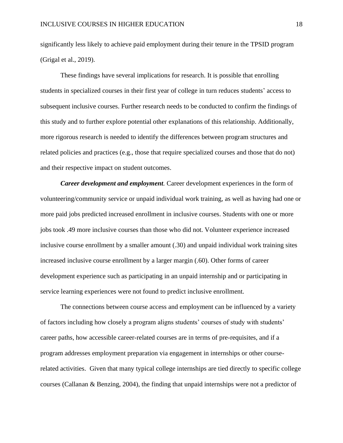significantly less likely to achieve paid employment during their tenure in the TPSID program (Grigal et al., 2019).

These findings have several implications for research. It is possible that enrolling students in specialized courses in their first year of college in turn reduces students' access to subsequent inclusive courses. Further research needs to be conducted to confirm the findings of this study and to further explore potential other explanations of this relationship. Additionally, more rigorous research is needed to identify the differences between program structures and related policies and practices (e.g., those that require specialized courses and those that do not) and their respective impact on student outcomes.

*Career development and employment.* Career development experiences in the form of volunteering/community service or unpaid individual work training, as well as having had one or more paid jobs predicted increased enrollment in inclusive courses. Students with one or more jobs took .49 more inclusive courses than those who did not. Volunteer experience increased inclusive course enrollment by a smaller amount (.30) and unpaid individual work training sites increased inclusive course enrollment by a larger margin (.60). Other forms of career development experience such as participating in an unpaid internship and or participating in service learning experiences were not found to predict inclusive enrollment.

The connections between course access and employment can be influenced by a variety of factors including how closely a program aligns students' courses of study with students' career paths, how accessible career-related courses are in terms of pre-requisites, and if a program addresses employment preparation via engagement in internships or other courserelated activities. Given that many typical college internships are tied directly to specific college courses (Callanan & Benzing, 2004), the finding that unpaid internships were not a predictor of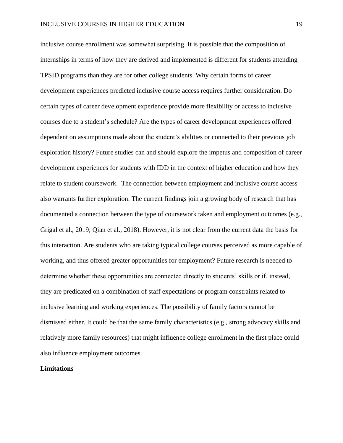inclusive course enrollment was somewhat surprising. It is possible that the composition of internships in terms of how they are derived and implemented is different for students attending TPSID programs than they are for other college students. Why certain forms of career development experiences predicted inclusive course access requires further consideration. Do certain types of career development experience provide more flexibility or access to inclusive courses due to a student's schedule? Are the types of career development experiences offered dependent on assumptions made about the student's abilities or connected to their previous job exploration history? Future studies can and should explore the impetus and composition of career development experiences for students with IDD in the context of higher education and how they relate to student coursework. The connection between employment and inclusive course access also warrants further exploration. The current findings join a growing body of research that has documented a connection between the type of coursework taken and employment outcomes (e.g., Grigal et al., 2019; Qian et al., 2018). However, it is not clear from the current data the basis for this interaction. Are students who are taking typical college courses perceived as more capable of working, and thus offered greater opportunities for employment? Future research is needed to determine whether these opportunities are connected directly to students' skills or if, instead, they are predicated on a combination of staff expectations or program constraints related to inclusive learning and working experiences. The possibility of family factors cannot be dismissed either. It could be that the same family characteristics (e.g., strong advocacy skills and relatively more family resources) that might influence college enrollment in the first place could also influence employment outcomes.

#### **Limitations**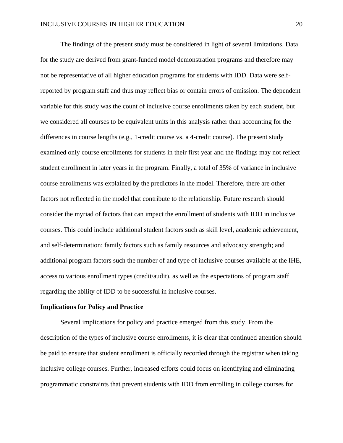The findings of the present study must be considered in light of several limitations. Data for the study are derived from grant-funded model demonstration programs and therefore may not be representative of all higher education programs for students with IDD. Data were selfreported by program staff and thus may reflect bias or contain errors of omission. The dependent variable for this study was the count of inclusive course enrollments taken by each student, but we considered all courses to be equivalent units in this analysis rather than accounting for the differences in course lengths (e.g., 1-credit course vs. a 4-credit course). The present study examined only course enrollments for students in their first year and the findings may not reflect student enrollment in later years in the program. Finally, a total of 35% of variance in inclusive course enrollments was explained by the predictors in the model. Therefore, there are other factors not reflected in the model that contribute to the relationship. Future research should consider the myriad of factors that can impact the enrollment of students with IDD in inclusive courses. This could include additional student factors such as skill level, academic achievement, and self-determination; family factors such as family resources and advocacy strength; and additional program factors such the number of and type of inclusive courses available at the IHE, access to various enrollment types (credit/audit), as well as the expectations of program staff regarding the ability of IDD to be successful in inclusive courses.

#### **Implications for Policy and Practice**

Several implications for policy and practice emerged from this study. From the description of the types of inclusive course enrollments, it is clear that continued attention should be paid to ensure that student enrollment is officially recorded through the registrar when taking inclusive college courses. Further, increased efforts could focus on identifying and eliminating programmatic constraints that prevent students with IDD from enrolling in college courses for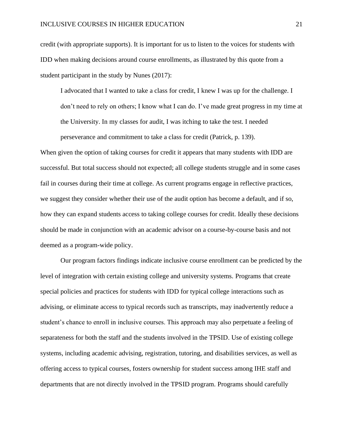#### INCLUSIVE COURSES IN HIGHER EDUCATION 21

credit (with appropriate supports). It is important for us to listen to the voices for students with IDD when making decisions around course enrollments, as illustrated by this quote from a student participant in the study by Nunes (2017):

I advocated that I wanted to take a class for credit, I knew I was up for the challenge. I don't need to rely on others; I know what I can do. I've made great progress in my time at the University. In my classes for audit, I was itching to take the test. I needed perseverance and commitment to take a class for credit (Patrick, p. 139).

When given the option of taking courses for credit it appears that many students with IDD are successful. But total success should not expected; all college students struggle and in some cases fail in courses during their time at college. As current programs engage in reflective practices, we suggest they consider whether their use of the audit option has become a default, and if so, how they can expand students access to taking college courses for credit. Ideally these decisions should be made in conjunction with an academic advisor on a course-by-course basis and not deemed as a program-wide policy.

Our program factors findings indicate inclusive course enrollment can be predicted by the level of integration with certain existing college and university systems. Programs that create special policies and practices for students with IDD for typical college interactions such as advising, or eliminate access to typical records such as transcripts, may inadvertently reduce a student's chance to enroll in inclusive courses. This approach may also perpetuate a feeling of separateness for both the staff and the students involved in the TPSID. Use of existing college systems, including academic advising, registration, tutoring, and disabilities services, as well as offering access to typical courses, fosters ownership for student success among IHE staff and departments that are not directly involved in the TPSID program. Programs should carefully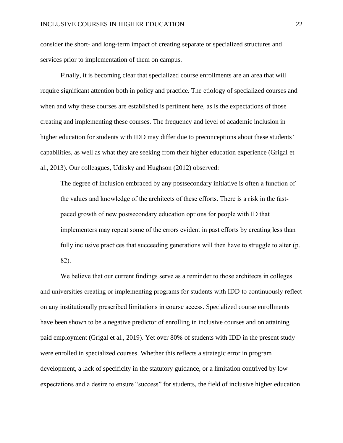consider the short- and long-term impact of creating separate or specialized structures and services prior to implementation of them on campus.

Finally, it is becoming clear that specialized course enrollments are an area that will require significant attention both in policy and practice. The etiology of specialized courses and when and why these courses are established is pertinent here, as is the expectations of those creating and implementing these courses. The frequency and level of academic inclusion in higher education for students with IDD may differ due to preconceptions about these students' capabilities, as well as what they are seeking from their higher education experience (Grigal et al., 2013). Our colleagues, Uditsky and Hughson (2012) observed:

The degree of inclusion embraced by any postsecondary initiative is often a function of the values and knowledge of the architects of these efforts. There is a risk in the fastpaced growth of new postsecondary education options for people with ID that implementers may repeat some of the errors evident in past efforts by creating less than fully inclusive practices that succeeding generations will then have to struggle to alter (p. 82).

We believe that our current findings serve as a reminder to those architects in colleges and universities creating or implementing programs for students with IDD to continuously reflect on any institutionally prescribed limitations in course access. Specialized course enrollments have been shown to be a negative predictor of enrolling in inclusive courses and on attaining paid employment (Grigal et al., 2019). Yet over 80% of students with IDD in the present study were enrolled in specialized courses. Whether this reflects a strategic error in program development, a lack of specificity in the statutory guidance, or a limitation contrived by low expectations and a desire to ensure "success" for students, the field of inclusive higher education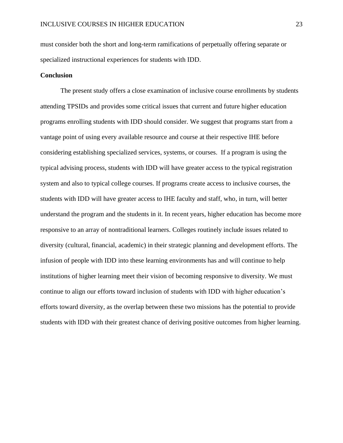must consider both the short and long-term ramifications of perpetually offering separate or specialized instructional experiences for students with IDD.

#### **Conclusion**

The present study offers a close examination of inclusive course enrollments by students attending TPSIDs and provides some critical issues that current and future higher education programs enrolling students with IDD should consider. We suggest that programs start from a vantage point of using every available resource and course at their respective IHE before considering establishing specialized services, systems, or courses. If a program is using the typical advising process, students with IDD will have greater access to the typical registration system and also to typical college courses. If programs create access to inclusive courses, the students with IDD will have greater access to IHE faculty and staff, who, in turn, will better understand the program and the students in it. In recent years, higher education has become more responsive to an array of nontraditional learners. Colleges routinely include issues related to diversity (cultural, financial, academic) in their strategic planning and development efforts. The infusion of people with IDD into these learning environments has and will continue to help institutions of higher learning meet their vision of becoming responsive to diversity. We must continue to align our efforts toward inclusion of students with IDD with higher education's efforts toward diversity, as the overlap between these two missions has the potential to provide students with IDD with their greatest chance of deriving positive outcomes from higher learning.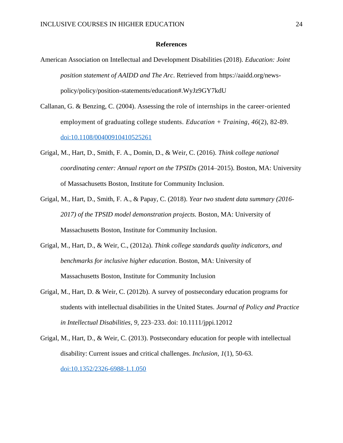#### **References**

- American Association on Intellectual and Development Disabilities (2018). *Education: Joint position statement of AAIDD and The Arc*. Retrieved from https://aaidd.org/newspolicy/policy/position-statements/education#.WyJz9GY7kdU
- Callanan, G. & Benzing, C. (2004). Assessing the role of internships in the career‐oriented employment of graduating college students. *Education + Training, 46*(2), 82-89. [doi:10.1108/00400910410525261](https://doi.org/10.1108/00400910410525261)
- Grigal, M., Hart, D., Smith, F. A., Domin, D., & Weir, C. (2016). *Think college national coordinating center: Annual report on the TPSIDs* (2014–2015). Boston, MA: University of Massachusetts Boston, Institute for Community Inclusion.
- Grigal, M., Hart, D., Smith, F. A., & Papay, C. (2018). *Year two student data summary (2016- 2017) of the TPSID model demonstration projects.* Boston, MA: University of Massachusetts Boston, Institute for Community Inclusion.
- Grigal, M., Hart, D., & Weir, C., (2012a). *Think college standards quality indicators, and benchmarks for inclusive higher education*. Boston, MA: University of Massachusetts Boston, Institute for Community Inclusion
- Grigal, M., Hart, D. & Weir, C. (2012b). A survey of postsecondary education programs for students with intellectual disabilities in the United States. *Journal of Policy and Practice in Intellectual Disabilities, 9*, 223–233. doi: 10.1111/jppi.12012
- Grigal, M., Hart, D., & Weir, C. (2013). Postsecondary education for people with intellectual disability: Current issues and critical challenges. *Inclusion, 1*(1), 50-63. [doi:10.1352/2326-6988-1.1.050](https://doi.org/10.1352/2326-6988-1.1.050)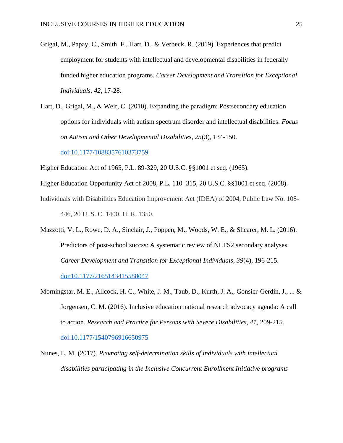- Grigal, M., Papay, C., Smith, F., Hart, D., & Verbeck, R. (2019). Experiences that predict employment for students with intellectual and developmental disabilities in federally funded higher education programs. *Career Development and Transition for Exceptional Individuals, 42,* 17-28.
- Hart, D., Grigal, M., & Weir, C. (2010). Expanding the paradigm: Postsecondary education options for individuals with autism spectrum disorder and intellectual disabilities. *Focus on Autism and Other Developmental Disabilities, 25*(3), 134-150.

[doi:10.1177/1088357610373759](https://doi.org/10.1177/1088357610373759)

Higher Education Act of 1965, P.L. 89-329, 20 U.S.C. §§1001 et seq. (1965).

- Higher Education Opportunity Act of 2008, P.L. 110–315, 20 U.S.C. §§1001 et seq. (2008).
- Individuals with Disabilities Education Improvement Act (IDEA) of 2004, Public Law No. 108- 446, 20 U. S. C. 1400, H. R. 1350.
- Mazzotti, V. L., Rowe, D. A., Sinclair, J., Poppen, M., Woods, W. E., & Shearer, M. L. (2016). Predictors of post-school succss: A systematic review of NLTS2 secondary analyses. *Career Development and Transition for Exceptional Individuals, 39*(4), 196-215. [doi:10.1177/2165143415588047](https://doi.org/10.1177/2165143415588047)
- Morningstar, M. E., Allcock, H. C., White, J. M., Taub, D., Kurth, J. A., Gonsier-Gerdin, J., ... & Jorgensen, C. M. (2016). Inclusive education national research advocacy agenda: A call to action. *Research and Practice for Persons with Severe Disabilities, 41*, 209-215. [doi:10.1177/1540796916650975](https://doi.org/10.1177/1540796916650975)
- Nunes, L. M. (2017). *Promoting self-determination skills of individuals with intellectual disabilities participating in the Inclusive Concurrent Enrollment Initiative programs*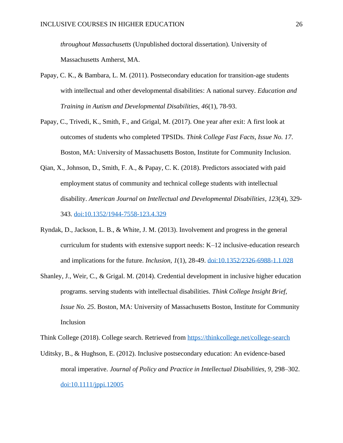*throughout Massachusetts* (Unpublished doctoral dissertation). University of Massachusetts Amherst, MA.

- Papay, C. K., & Bambara, L. M. (2011). Postsecondary education for transition-age students with intellectual and other developmental disabilities: A national survey. *Education and Training in Autism and Developmental Disabilities, 46*(1), 78-93.
- Papay, C., Trivedi, K., Smith, F., and Grigal, M. (2017). One year after exit: A first look at outcomes of students who completed TPSIDs. *Think College Fast Facts, Issue No. 17*. Boston, MA: University of Massachusetts Boston, Institute for Community Inclusion.
- Qian, X., Johnson, D., Smith, F. A., & Papay, C. K. (2018). Predictors associated with paid employment status of community and technical college students with intellectual disability. *American Journal on Intellectual and Developmental Disabilities, 123*(4), 329- 343. [doi:10.1352/1944-7558-123.4.329](https://doi.org/10.1352/1944-7558-123.4.329)
- Ryndak, D., Jackson, L. B., & White, J. M. (2013). Involvement and progress in the general curriculum for students with extensive support needs: K–12 inclusive-education research and implications for the future. *Inclusion, 1*(1), 28-49. [doi:10.1352/2326-6988-1.1.028](https://doi.org/10.1352/2326-6988-1.1.028)
- Shanley, J., Weir, C., & Grigal. M. (2014). Credential development in inclusive higher education programs. serving students with intellectual disabilities. *Think College Insight Brief, Issue No. 25*. Boston, MA: University of Massachusetts Boston, Institute for Community Inclusion

Think College (2018). College search. Retrieved from<https://thinkcollege.net/college-search>

Uditsky, B., & Hughson, E. (2012). Inclusive postsecondary education: An evidence-based moral imperative. *Journal of Policy and Practice in Intellectual Disabilities, 9, 298–302.* [doi:10.1111/jppi.12005](https://doi.org/10.1111/jppi.12005)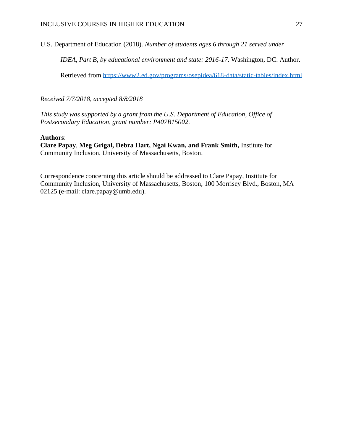U.S. Department of Education (2018). *Number of students ages 6 through 21 served under* 

*IDEA, Part B, by educational environment and state: 2016-17*. Washington, DC: Author.

Retrieved from<https://www2.ed.gov/programs/osepidea/618-data/static-tables/index.html>

*Received 7/7/2018, accepted 8/8/2018*

*This study was supported by a grant from the U.S. Department of Education, Office of Postsecondary Education, grant number: P407B15002.*

#### **Authors**:

**Clare Papay**, **Meg Grigal, Debra Hart, Ngai Kwan, and Frank Smith,** Institute for Community Inclusion, University of Massachusetts, Boston.

Correspondence concerning this article should be addressed to Clare Papay, Institute for Community Inclusion, University of Massachusetts, Boston, 100 Morrisey Blvd., Boston, MA 02125 (e-mail: clare.papay@umb.edu).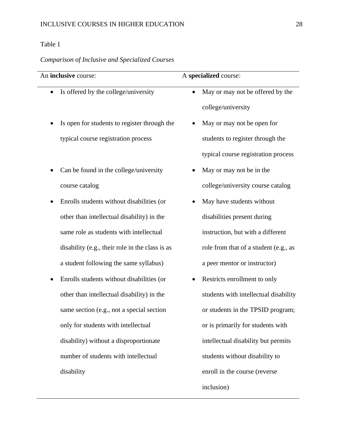# Table 1

# *Comparison of Inclusive and Specialized Courses*

| An inclusive course:                              | A specialized course:                         |
|---------------------------------------------------|-----------------------------------------------|
| Is offered by the college/university<br>٠         | May or may not be offered by the<br>$\bullet$ |
|                                                   | college/university                            |
| Is open for students to register through the<br>٠ | May or may not be open for<br>$\bullet$       |
| typical course registration process               | students to register through the              |
|                                                   | typical course registration process           |
| Can be found in the college/university            | May or may not be in the                      |
| course catalog                                    | college/university course catalog             |
| Enrolls students without disabilities (or         | May have students without                     |
| other than intellectual disability) in the        | disabilities present during                   |
| same role as students with intellectual           | instruction, but with a different             |
| disability (e.g., their role in the class is as   | role from that of a student (e.g., as         |
| a student following the same syllabus)            | a peer mentor or instructor)                  |
| Enrolls students without disabilities (or         | Restricts enrollment to only                  |
| other than intellectual disability) in the        | students with intellectual disability         |
| same section (e.g., not a special section         | or students in the TPSID program;             |
| only for students with intellectual               | or is primarily for students with             |
| disability) without a disproportionate            | intellectual disability but permits           |
| number of students with intellectual              | students without disability to                |
| disability                                        | enroll in the course (reverse                 |
|                                                   | inclusion)                                    |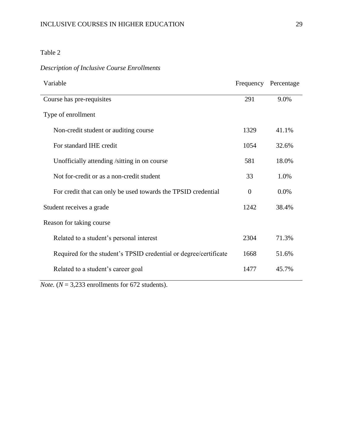### Table 2

## *Description of Inclusive Course Enrollments*

| Variable                                                          |                | Frequency Percentage |  |
|-------------------------------------------------------------------|----------------|----------------------|--|
| Course has pre-requisites                                         | 291            | 9.0%                 |  |
| Type of enrollment                                                |                |                      |  |
| Non-credit student or auditing course                             | 1329           | 41.1%                |  |
| For standard IHE credit                                           | 1054           | 32.6%                |  |
| Unofficially attending /sitting in on course                      | 581            | 18.0%                |  |
| Not for-credit or as a non-credit student                         | 33             | 1.0%                 |  |
| For credit that can only be used towards the TPSID credential     | $\overline{0}$ | 0.0%                 |  |
| Student receives a grade                                          | 1242           | 38.4%                |  |
| Reason for taking course                                          |                |                      |  |
| 2304<br>Related to a student's personal interest                  |                | 71.3%                |  |
| Required for the student's TPSID credential or degree/certificate |                | 51.6%                |  |
| Related to a student's career goal                                | 1477           | 45.7%                |  |

*Note.* ( $N = 3,233$  enrollments for 672 students).